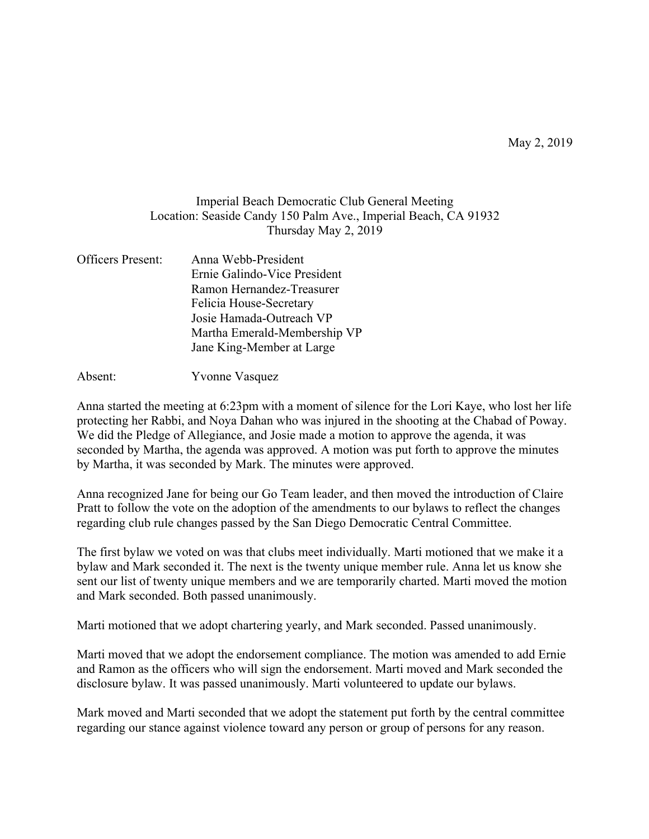## Imperial Beach Democratic Club General Meeting Location: Seaside Candy 150 Palm Ave., Imperial Beach, CA 91932 Thursday May 2, 2019

| Officers Present: | Anna Webb-President          |
|-------------------|------------------------------|
|                   | Ernie Galindo-Vice President |
|                   | Ramon Hernandez-Treasurer    |
|                   | Felicia House-Secretary      |
|                   | Josie Hamada-Outreach VP     |
|                   | Martha Emerald-Membership VP |
|                   | Jane King-Member at Large    |
|                   |                              |

Absent: Yvonne Vasquez

Anna started the meeting at 6:23pm with a moment of silence for the Lori Kaye, who lost her life protecting her Rabbi, and Noya Dahan who was injured in the shooting at the Chabad of Poway. We did the Pledge of Allegiance, and Josie made a motion to approve the agenda, it was seconded by Martha, the agenda was approved. A motion was put forth to approve the minutes by Martha, it was seconded by Mark. The minutes were approved.

Anna recognized Jane for being our Go Team leader, and then moved the introduction of Claire Pratt to follow the vote on the adoption of the amendments to our bylaws to reflect the changes regarding club rule changes passed by the San Diego Democratic Central Committee.

The first bylaw we voted on was that clubs meet individually. Marti motioned that we make it a bylaw and Mark seconded it. The next is the twenty unique member rule. Anna let us know she sent our list of twenty unique members and we are temporarily charted. Marti moved the motion and Mark seconded. Both passed unanimously.

Marti motioned that we adopt chartering yearly, and Mark seconded. Passed unanimously.

Marti moved that we adopt the endorsement compliance. The motion was amended to add Ernie and Ramon as the officers who will sign the endorsement. Marti moved and Mark seconded the disclosure bylaw. It was passed unanimously. Marti volunteered to update our bylaws.

Mark moved and Marti seconded that we adopt the statement put forth by the central committee regarding our stance against violence toward any person or group of persons for any reason.